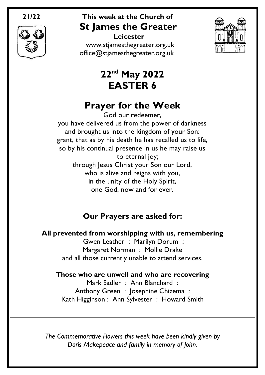

### **21/22 This week at the Church of St James the Greater**

 **Leicester** [www.stjamesthegreater.org.uk](http://www.stjamesthegreater.org.uk/) [office@stjamesthegreater.org.uk](mailto:office@stjamesthegreater.org.uk)



## **22nd May 2022 EASTER 6**

## **Prayer for the Week**

God our redeemer, you have delivered us from the power of darkness and brought us into the kingdom of your Son: grant, that as by his death he has recalled us to life, so by his continual presence in us he may raise us to eternal joy; through Jesus Christ your Son our Lord, who is alive and reigns with you, in the unity of the Holy Spirit, one God, now and for ever.

### **Our Prayers are asked for:**

**All prevented from worshipping with us, remembering**

Gwen Leather : Marilyn Dorum : Margaret Norman : Mollie Drake and all those currently unable to attend services.

#### **Those who are unwell and who are recovering**

Mark Sadler : Ann Blanchard : Anthony Green : Josephine Chizema : Kath Higginson : Ann Sylvester : Howard Smith

*The Commemorative Flowers this week have been kindly given by Doris Makepeace and family in memory of John.*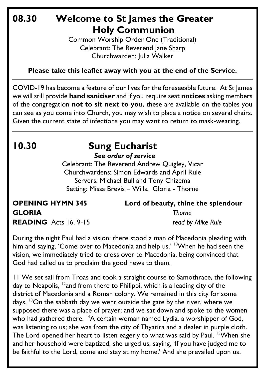### **08.30 Welcome to St James the Greater Holy Communion**

Common Worship Order One (Traditional) Celebrant: The Reverend Jane Sharp Churchwarden: Julia Walker

#### **Please take this leaflet away with you at the end of the Service.**

COVID-19 has become a feature of our lives for the foreseeable future. At St James we will still provide **hand sanitiser** and if you require seat **notices** asking members of the congregation **not to sit next to you**, these are available on the tables you can see as you come into Church, you may wish to place a notice on several chairs. Given the current state of infections you may want to return to mask-wearing.

### **10.30 Sung Eucharist** *See order of service*

Celebrant: The Reverend Andrew Quigley, Vicar Churchwardens: Simon Edwards and April Rule Servers: Michael Bull and Tony Chizema Setting: Missa Brevis – Wills. Gloria - Thorne

### **OPENING HYMN 345 Lord of beauty, thine the splendour GLORIA** *Thorne* **READING** Acts 16. 9-15 *read by Mike Rule*

During the night Paul had a vision: there stood a man of Macedonia pleading with him and saying, 'Come over to Macedonia and help us.' <sup>10</sup>When he had seen the vision, we immediately tried to cross over to Macedonia, being convinced that God had called us to proclaim the good news to them.

11 We set sail from Troas and took a straight course to Samothrace, the following day to Neapolis,  $^{12}$ and from there to Philippi, which is a leading city of the district of Macedonia and a Roman colony. We remained in this city for some days. <sup>13</sup>On the sabbath day we went outside the gate by the river, where we supposed there was a place of prayer; and we sat down and spoke to the women who had gathered there.  $14A$  certain woman named Lydia, a worshipper of God, was listening to us; she was from the city of Thyatira and a dealer in purple cloth. The Lord opened her heart to listen eagerly to what was said by Paul. <sup>15</sup>When she and her household were baptized, she urged us, saying, 'If you have judged me to be faithful to the Lord, come and stay at my home.' And she prevailed upon us.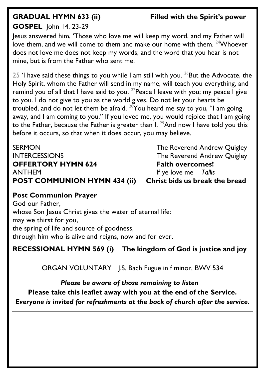#### **GRADUAL HYMN 633 (ii) Filled with the Spirit's power**

#### **GOSPEL** John 14. 23-29

Jesus answered him, 'Those who love me will keep my word, and my Father will love them, and we will come to them and make our home with them.  $24$  Whoever does not love me does not keep my words; and the word that you hear is not mine, but is from the Father who sent me.

25 'I have said these things to you while I am still with you. <sup>26</sup>But the Advocate, the Holy Spirit, whom the Father will send in my name, will teach you everything, and remind you of all that I have said to you.  $27$  Peace I leave with you; my peace I give to you. I do not give to you as the world gives. Do not let your hearts be troubled, and do not let them be afraid.  $^{28}$ You heard me say to you, "I am going away, and I am coming to you." If you loved me, you would rejoice that I am going to the Father, because the Father is greater than I.  $^{29}$ And now I have told you this before it occurs, so that when it does occur, you may believe.

SERMON GERMON The Reverend Andrew Quigley INTERCESSIONS The Reverend Andrew Quigley **OFFERTORY HYMN 624** Faith overcomes! ANTHEM If ye love me *Tallis*  **POST COMMUNION HYMN 434 (ii) Christ bids us break the bread** 

#### **Post Communion Prayer**

God our Father, whose Son Jesus Christ gives the water of eternal life: may we thirst for you, the spring of life and source of goodness, through him who is alive and reigns, now and for ever.

**RECESSIONAL HYMN 569 (i) The kingdom of God is justice and joy**

ORGAN VOLUNTARY – J.S. Bach Fugue in f minor, BWV 534

*Please be aware of those remaining to listen* **Please take this leaflet away with you at the end of the Service.**  *Everyone is invited for refreshments at the back of church after the service.*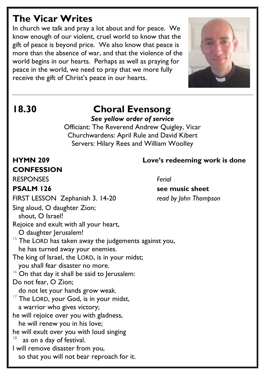## **The Vicar Writes**

In church we talk and pray a lot about and for peace. We know enough of our violent, cruel world to know that the gift of peace is beyond price. We also know that peace is more than the absence of war, and that the violence of the world begins in our hearts. Perhaps as well as praying for peace in the world, we need to pray that we more fully receive the gift of Christ's peace in our hearts.



## **18.30 Choral Evensong**

*See yellow order of service*

Officiant: The Reverend Andrew Quigley, Vicar Churchwardens: April Rule and David Kibert Servers: Hilary Rees and William Woolley

# **CONFESSION**

RESPONSES *Ferial*

FIRST LESSON Zephaniah 3. 14-20 *read by John Thompson*

Sing aloud, O daughter Zion;

shout, O Israel!

Rejoice and exult with all your heart,

O daughter Jerusalem!

- $15$  The LORD has taken away the judgements against you, he has turned away your enemies.
- The king of Israel, the LORD, is in your midst; you shall fear disaster no more.
- $16$  On that day it shall be said to Jerusalem:

#### Do not fear, O Zion;

- do not let your hands grow weak.
- <sup>17</sup> The LORD, your God, is in your midst, a warrior who gives victory;

he will rejoice over you with gladness,

he will renew you in his love;

he will exult over you with loud singing

- 18 as on a day of festival.
- I will remove disaster from you,

so that you will not bear reproach for it.

### **HYMN 209 Love's redeeming work is done**

### **PSALM 126** see music sheet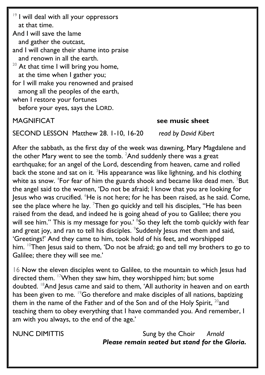<sup>19</sup> I will deal with all your oppressors at that time. And I will save the lame and gather the outcast, and I will change their shame into praise and renown in all the earth.  $20$  At that time I will bring you home, at the time when I gather you; for I will make you renowned and praised among all the peoples of the earth, when I restore your fortunes before your eyes, says the LORD.

MAGNIFICAT **see music sheet** 

SECOND LESSON Matthew 28. 1-10, 16-20 *read by David Kibert*

After the sabbath, as the first day of the week was dawning, Mary Magdalene and the other Mary went to see the tomb.  ${}^{2}$ And suddenly there was a great earthquake; for an angel of the Lord, descending from heaven, came and rolled back the stone and sat on it.  $3$ His appearance was like lightning, and his clothing white as snow.  ${}^{4}$ For fear of him the guards shook and became like dead men.  ${}^{5}$ But the angel said to the women, 'Do not be afraid; I know that you are looking for Jesus who was crucified. <sup>6</sup>He is not here; for he has been raised, as he said. Come, see the place where he lay.  $7$ Then go quickly and tell his disciples, "He has been raised from the dead, and indeed he is going ahead of you to Galilee; there you will see him." This is my message for you.' <sup>8</sup>So they left the tomb quickly with fear and great joy, and ran to tell his disciples. <sup>9</sup>Suddenly Jesus met them and said, 'Greetings!' And they came to him, took hold of his feet, and worshipped him. <sup>10</sup>Then Jesus said to them, 'Do not be afraid; go and tell my brothers to go to Galilee; there they will see me.'

16 Now the eleven disciples went to Galilee, to the mountain to which Jesus had directed them. <sup>17</sup>When they saw him, they worshipped him; but some doubted. <sup>18</sup>And Jesus came and said to them, 'All authority in heaven and on earth has been given to me. <sup>19</sup>Go therefore and make disciples of all nations, baptizing them in the name of the Father and of the Son and of the Holy Spirit,  $^{20}$  and teaching them to obey everything that I have commanded you. And remember, I am with you always, to the end of the age.'

NUNC DIMITTIS Sung by the Choir *Arnold Please remain seated but stand for the Gloria.*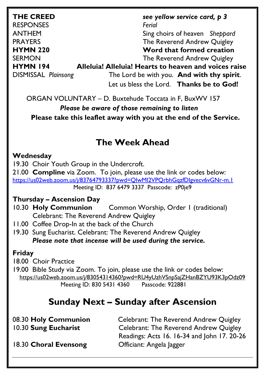| <b>THE CREED</b>           | see yellow service card, $p \, 3$                     |  |  |
|----------------------------|-------------------------------------------------------|--|--|
| <b>RESPONSES</b>           | Ferial                                                |  |  |
| <b>ANTHEM</b>              | Sing choirs of heaven Sheppard                        |  |  |
| <b>PRAYERS</b>             | The Reverend Andrew Quigley                           |  |  |
| <b>HYMN 220</b>            | Word that formed creation                             |  |  |
| <b>SERMON</b>              | The Reverend Andrew Quigley                           |  |  |
| <b>HYMN 194</b>            | Alleluia! Alleluia! Hearts to heaven and voices raise |  |  |
| <b>DISMISSAL Plainsong</b> | The Lord be with you. And with thy spirit.            |  |  |
|                            | Let us bless the Lord. Thanks be to God!              |  |  |

ORGAN VOLUNTARY – D. Buxtehude Toccata in F, BuxWV 157

 *Please be aware of those remaining to listen*  **Please take this leaflet away with you at the end of the Service.** 

### **The Week Ahead**

#### **Wednesday**

19.30 Choir Youth Group in the Undercroft.

21.00 **Compline** via Zoom. To join, please use the link or codes below: <https://us02web.zoom.us/j/83764793337?pwd=QIwMI2VPQrbhGqzfDIgvecv6vGNr-m.1> Meeting ID: 837 6479 3337 Passcode: zP0je9

#### **Thursday – Ascension Day**

- 10.30 **Holy Communion** Common Worship, Order 1 (traditional) Celebrant: The Reverend Andrew Quigley
- 11.00 Coffee Drop-In at the back of the Church
- 19.30 Sung Eucharist. Celebrant: The Reverend Andrew Quigley *Please note that incense will be used during the service.*

#### **Friday**

18.00 Choir Practice

19.00 Bible Study via Zoom. To join, please use the link or codes below: <https://us02web.zoom.us/j/83054314360?pwd=RU4yUzhVSnpSajZHanBZYU93K3pOdz09> Meeting ID: 830 5431 4360 Passcode: 922881

## **Sunday Next – Sunday after Ascension**

| 08.30 Holy Communion  | <b>Celebrant: The Reverend Andrew Quigley</b> |  |
|-----------------------|-----------------------------------------------|--|
| 10.30 Sung Eucharist  | Celebrant: The Reverend Andrew Quigley        |  |
|                       | Readings: Acts 16. 16-34 and John 17. 20-26   |  |
| 18.30 Choral Evensong | Officiant: Angela Jagger                      |  |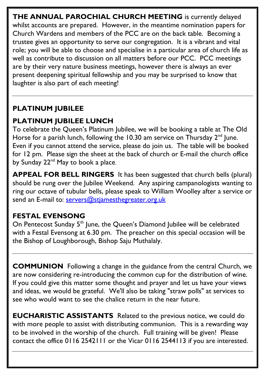**THE ANNUAL PAROCHIAL CHURCH MEETING** is currently delayed whilst accounts are prepared. However, in the meantime nomination papers for Church Wardens and members of the PCC are on the back table. Becoming a trustee gives an opportunity to serve our congregation. It is a vibrant and vital role; you will be able to choose and specialise in a particular area of church life as well as contribute to discussion on all matters before our PCC. PCC meetings are by their very nature business meetings, however there is always an ever present deepening spiritual fellowship and you may be surprised to know that laughter is also part of each meeting!

#### **PLATINUM JUBILEE**

### **PLATINUM JUBILEE LUNCH**

To celebrate the Queen's Platinum Jubilee, we will be booking a table at The Old Horse for a parish lunch, following the 10.30 am service on Thursday  $2^{nd}$  June. Even if you cannot attend the service, please do join us. The table will be booked for 12 pm. Please sign the sheet at the back of church or E-mail the church office by Sunday 22<sup>nd</sup> May to book a place.

**APPEAL FOR BELL RINGERS** It has been suggested that church bells (plural) should be rung over the Jubilee Weekend. Any aspiring campanologists wanting to ring our octave of tubular bells, please speak to William Woolley after a service or send an E-mail to: [servers@stjamesthegreater.org.uk](mailto:servers@stjamesthegreater.org.uk)

#### **FESTAL EVENSONG**

On Pentecost Sunday 5<sup>th</sup> June, the Queen's Diamond Jubilee will be celebrated with a Festal Evensong at 6.30 pm. The preacher on this special occasion will be the Bishop of Loughborough, Bishop Saju Muthalaly.

**COMMUNION** Following a change in the guidance from the central Church, we are now considering re-introducing the common cup for the distribution of wine. If you could give this matter some thought and prayer and let us have your views and ideas, we would be grateful. We'll also be taking "straw polls" at services to see who would want to see the chalice return in the near future.

**EUCHARISTIC ASSISTANTS** Related to the previous notice, we could do with more people to assist with distributing communion. This is a rewarding way to be involved in the worship of the church. Full training will be given! Please contact the office 0116 2542111 or the Vicar 0116 2544113 if you are interested.